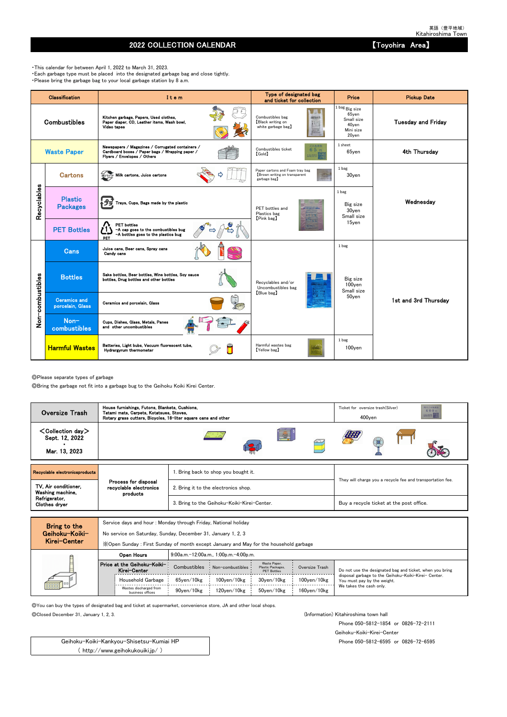◎Please separate types of garbage

◎Bring the garbage not fit into a garbage bug to the Geihoku Koiki Kirei Center.

Service days and hour : Monday through Friday, National holiday

No service on Saturday, Sunday, December 31, January 1, 2, 3

◎You can buy the types of designated bag and ticket at supermarket, convenience store, JA and other local shops.

◎Closed December 31, January 1, 2, 3. (Information) Kitahiroshima town hall

Phone 050-5812-1854 or 0826-72-2111

Geihoku-Koiki-Kirei-Center

Phone 050-5812-6595 or 0826-72-6595

## 2022 COLLECTION CALENDAR 【Toyohira Area】

・This calendar for between April 1, 2022 to March 31, 2023. ・Each garbage type must be placed into the designated garbage bag and close tightly. ・Please bring the garbage bag to your local garbage station by 8 a.m.

|                  | Classification                          | Item                                                                                                                               | Type of designated bag<br>and ticket for collection                             | Price                                                                    | <b>Pickup Date</b>        |
|------------------|-----------------------------------------|------------------------------------------------------------------------------------------------------------------------------------|---------------------------------------------------------------------------------|--------------------------------------------------------------------------|---------------------------|
|                  | <b>Combustibles</b>                     | Kitchen garbage, Papers, Used clothes,<br>Paper diaper, CD, Leather items, Wash bowl,<br>Video tapes                               | Combustibles bag<br>2個えるごみ(の)<br>Black writing on<br>white garbage bag)         | $1$ bag $Big$ size<br>65yen<br>Small size<br>40yen<br>Mini size<br>20yen | <b>Tuesday and Friday</b> |
|                  | <b>Waste Paper</b>                      | Newspapers / Magazines / Corrugated containers /<br>Cardboard boxes / Paper bags / Wrapping paper /<br>Flyers / Envelopes / Others | ごみ処理券<br>Combustibles ticket<br>65円<br>【Gold】<br>主出地見得                          | 1 sheet<br>65yen                                                         | 4th Thursday              |
|                  | <b>Cartons</b>                          | 紙パック Milk cartons, Juice cartons                                                                                                   | Paper cartons and Foam tray bag<br>Brown writing on transparent<br>garbage bag) | 1 bag<br>30yen                                                           |                           |
| Recyclables      | <b>Plastic</b><br><b>Packages</b>       | アラ Trays, Cups, Bags made by the plastic                                                                                           | PET bottles and<br>Plastics bag<br>[Pink bag]                                   | 1 bag<br>Big size<br>30yen<br>Small size                                 | Wednesday                 |
|                  | <b>PET Bottles</b>                      | <b>PET</b> bottles<br>-A cap goes to the combustibles bug<br>-A bottles goes to the plastics bug<br>PET                            |                                                                                 | 15yen                                                                    |                           |
|                  | <b>Cans</b>                             | Juice cans, Beer cans, Spray cans<br>Candy cans                                                                                    |                                                                                 | 1 bag                                                                    |                           |
|                  | <b>Bottles</b>                          | Sake bottles, Beer bottles, Wine bottles, Soy sauce<br>bottles, Drug bottles and other bottles                                     | Recyclables and/or<br>Uncombustibles bag                                        | Big size<br>$100$ yen<br>Small size                                      |                           |
| Non-combustibles | <b>Ceramics and</b><br>porcelain, Glass | Ceramics and porcelain, Glass                                                                                                      | [Blue bag]                                                                      | 50yen                                                                    | 1st and 3rd Thursday      |
|                  | Non-<br>combustibles                    | Cups, Dishes, Glass, Metals, Panes<br>and other uncombustibles                                                                     |                                                                                 |                                                                          |                           |
|                  | <b>Harmful Wastes</b>                   | Batteries, Light bubs, Vacuum fluorescent tube,<br>Hydrargyrum thermometer                                                         | Harmful wastes bag<br>[Yellow bag]                                              | 1 bag<br>100yen                                                          |                           |

| MIGI VEILEI |                                             | X Open Sunday: First Sunday of month except January and May for the household garbage |                                       |                                                         |                    |                                                                                     |  |  |  |  |  |  |
|-------------|---------------------------------------------|---------------------------------------------------------------------------------------|---------------------------------------|---------------------------------------------------------|--------------------|-------------------------------------------------------------------------------------|--|--|--|--|--|--|
|             | Open Hours                                  |                                                                                       | 9:00a.m.-12:00a.m., 1:00p.m.-4:00p.m. |                                                         |                    |                                                                                     |  |  |  |  |  |  |
|             | Price at the Geihoku-Koiki-<br>Kirei-Center | Combustibles                                                                          | Non-combustibles                      | Waste Paper.<br>Plastic Packages,<br><b>PET Bottles</b> | Oversize Trash     | Do not use the designated bag and ticket, when you bring                            |  |  |  |  |  |  |
| 000000      | Household Garbage                           | 65ven/10kg                                                                            | $100$ ven $/10$ kg                    | 30ven/10kg                                              | $100$ yen $/10$ kg | disposal garbage to the Geihoku-Koiki-Kirei- Center.<br>You must pay by the weight. |  |  |  |  |  |  |
|             | Wastes discharged from<br>business offices  | 90ven/10kg                                                                            | 120ven/10kg                           | 50ven/10kg                                              | $160$ ven $/10$ kg | We takes the cash only.                                                             |  |  |  |  |  |  |

Geihoku-Koiki-Kankyou-Shisetsu-Kumiai HP ( http://www.geihokukouiki.jp/ )

| <b>Oversize Trash</b>                                                       | House furnishings, Futons, Blankets, Cushions,<br>Tatami mats, Carpets, Kotatsues, Stoves,<br>Rotary grass cutters, Bicycles, 18-liter square cans and other |                                             | 粗大ごみ処理器<br>Ticket for oversize trash (Silver)<br>400円<br><b>FARMING BERTH</b><br>$400$ yen |
|-----------------------------------------------------------------------------|--------------------------------------------------------------------------------------------------------------------------------------------------------------|---------------------------------------------|--------------------------------------------------------------------------------------------|
| $\texttt{<}$ Collection day $\texttt{>}$<br>Sept. 12, 2022<br>Mar. 13, 2023 |                                                                                                                                                              | E.                                          |                                                                                            |
| Recyclable electronicsproducts                                              |                                                                                                                                                              | . Bring back to shop you bought it.         |                                                                                            |
| TV, Air conditioner,<br>Washing machine,                                    | Process for disposal<br>recyclable electronics<br>products                                                                                                   | 2. Bring it to the electronics shop.        | They will charge you a recycle fee and transportation fee.                                 |
| Refrigerator,<br>Clothes dryer                                              |                                                                                                                                                              | 3. Bring to the Geihoku-Koiki-Kirei-Center. | Buy a recycle ticket at the post office.                                                   |
|                                                                             |                                                                                                                                                              |                                             |                                                                                            |

Bring to the Geihoku-Koiki-Kirei-Center